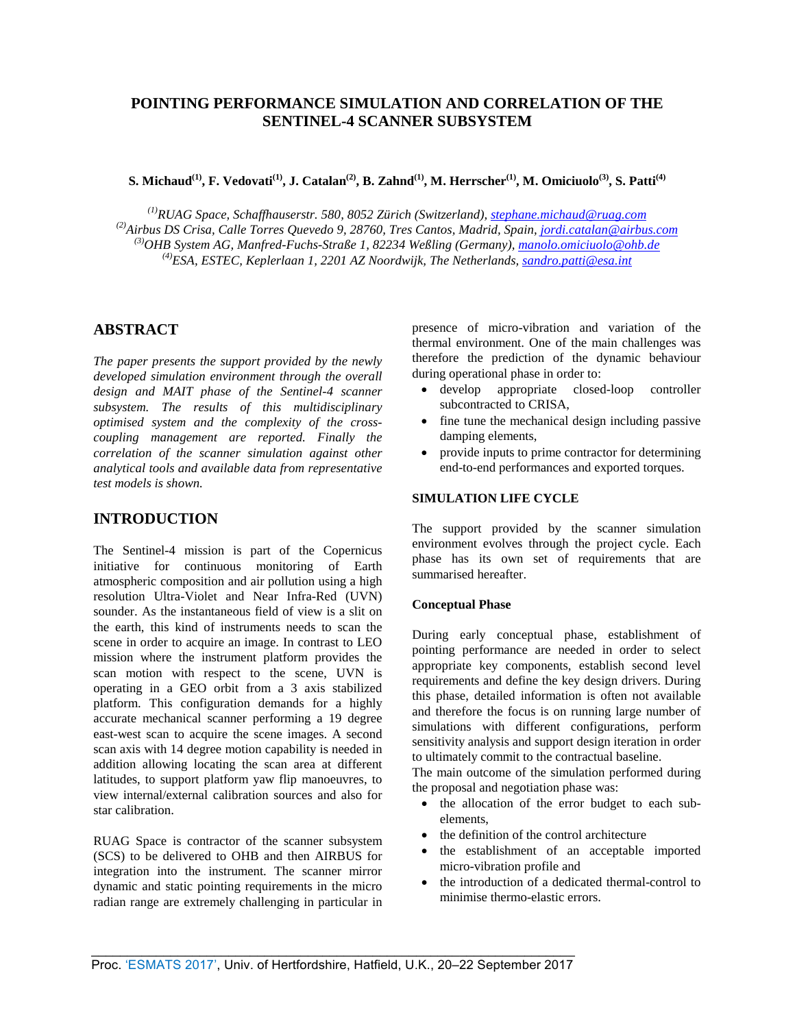# **POINTING PERFORMANCE SIMULATION AND CORRELATION OF THE SENTINEL-4 SCANNER SUBSYSTEM**

S. Michaud<sup>(1)</sup>, F. Vedovati<sup>(1)</sup>, J. Catalan<sup>(2)</sup>, B. Zahnd<sup>(1)</sup>, M. Herrscher<sup>(1)</sup>, M. Omiciuolo<sup>(3)</sup>, S. Patti<sup>(4)</sup>

*(1)RUAG Space, Schaffhauserstr. 580, 8052 Zürich (Switzerland), [stephane.michaud@ruag.com](mailto:stephane.michaud@ruag.com) (2)Airbus DS Crisa, Calle Torres Quevedo 9, 28760, Tres Cantos, Madrid, Spain, [jordi.catalan@airbus.com](mailto:jordi.catalan@airbus.com) (3)OHB System AG, Manfred-Fuchs-Straße 1, 82234 Weßling (Germany), [manolo.omiciuolo@ohb.de](mailto:manolo.omiciuolo@ohb.de) (4)ESA, ESTEC, Keplerlaan 1, 2201 AZ Noordwijk, The Netherlands, [sandro.patti@esa.int](mailto:sandro.patti@esa.int)*

# **ABSTRACT**

*The paper presents the support provided by the newly developed simulation environment through the overall design and MAIT phase of the Sentinel-4 scanner subsystem. The results of this multidisciplinary optimised system and the complexity of the crosscoupling management are reported. Finally the correlation of the scanner simulation against other analytical tools and available data from representative test models is shown.*

# **INTRODUCTION**

The Sentinel-4 mission is part of the Copernicus initiative for continuous monitoring of Earth atmospheric composition and air pollution using a high resolution Ultra-Violet and Near Infra-Red (UVN) sounder. As the instantaneous field of view is a slit on the earth, this kind of instruments needs to scan the scene in order to acquire an image. In contrast to LEO mission where the instrument platform provides the scan motion with respect to the scene, UVN is operating in a GEO orbit from a 3 axis stabilized platform. This configuration demands for a highly accurate mechanical scanner performing a 19 degree east-west scan to acquire the scene images. A second scan axis with 14 degree motion capability is needed in addition allowing locating the scan area at different latitudes, to support platform yaw flip manoeuvres, to view internal/external calibration sources and also for star calibration.

RUAG Space is contractor of the scanner subsystem (SCS) to be delivered to OHB and then AIRBUS for integration into the instrument. The scanner mirror dynamic and static pointing requirements in the micro radian range are extremely challenging in particular in

presence of micro-vibration and variation of the thermal environment. One of the main challenges was therefore the prediction of the dynamic behaviour during operational phase in order to:

- develop appropriate closed-loop controller subcontracted to CRISA,
- fine tune the mechanical design including passive damping elements,
- provide inputs to prime contractor for determining end-to-end performances and exported torques.

# **SIMULATION LIFE CYCLE**

The support provided by the scanner simulation environment evolves through the project cycle. Each phase has its own set of requirements that are summarised hereafter.

## **Conceptual Phase**

During early conceptual phase, establishment of pointing performance are needed in order to select appropriate key components, establish second level requirements and define the key design drivers. During this phase, detailed information is often not available and therefore the focus is on running large number of simulations with different configurations, perform sensitivity analysis and support design iteration in order to ultimately commit to the contractual baseline.

The main outcome of the simulation performed during the proposal and negotiation phase was:

- the allocation of the error budget to each subelements,
- the definition of the control architecture
- the establishment of an acceptable imported micro-vibration profile and
- the introduction of a dedicated thermal-control to minimise thermo-elastic errors.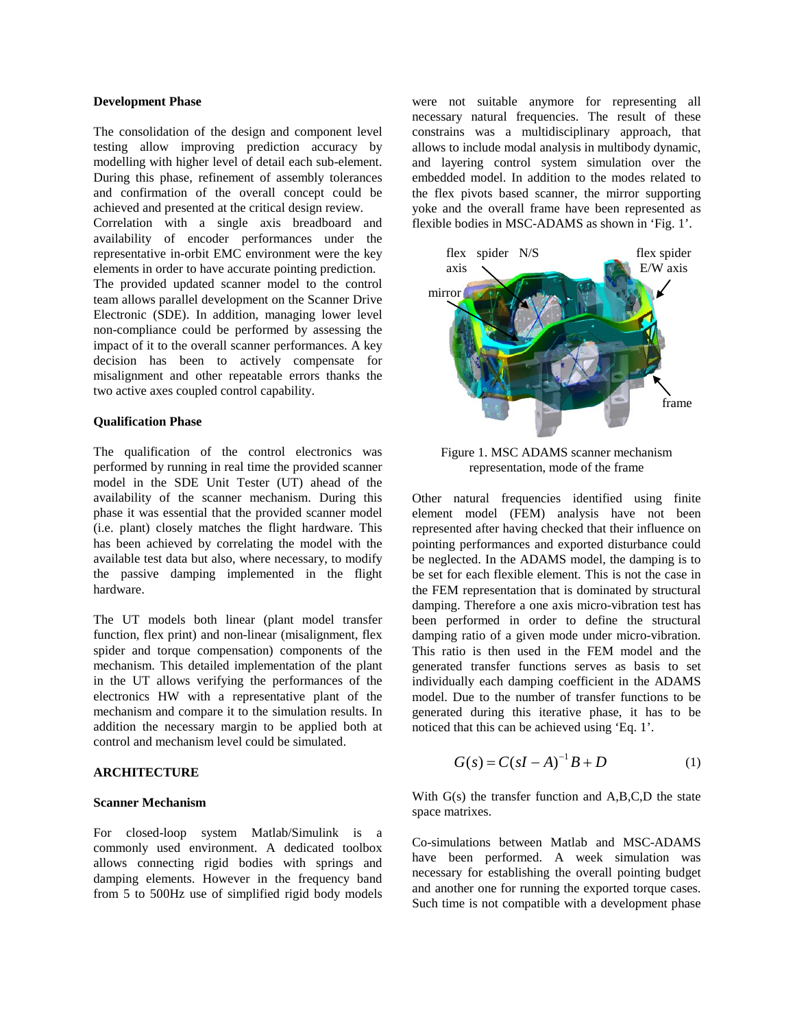#### **Development Phase**

The consolidation of the design and component level testing allow improving prediction accuracy by modelling with higher level of detail each sub-element. During this phase, refinement of assembly tolerances and confirmation of the overall concept could be achieved and presented at the critical design review.

Correlation with a single axis breadboard and availability of encoder performances under the representative in-orbit EMC environment were the key elements in order to have accurate pointing prediction.

The provided updated scanner model to the control team allows parallel development on the Scanner Drive Electronic (SDE). In addition, managing lower level non-compliance could be performed by assessing the impact of it to the overall scanner performances. A key decision has been to actively compensate for misalignment and other repeatable errors thanks the two active axes coupled control capability.

## **Qualification Phase**

The qualification of the control electronics was performed by running in real time the provided scanner model in the SDE Unit Tester (UT) ahead of the availability of the scanner mechanism. During this phase it was essential that the provided scanner model (i.e. plant) closely matches the flight hardware. This has been achieved by correlating the model with the available test data but also, where necessary, to modify the passive damping implemented in the flight hardware.

The UT models both linear (plant model transfer function, flex print) and non-linear (misalignment, flex spider and torque compensation) components of the mechanism. This detailed implementation of the plant in the UT allows verifying the performances of the electronics HW with a representative plant of the mechanism and compare it to the simulation results. In addition the necessary margin to be applied both at control and mechanism level could be simulated.

## **ARCHITECTURE**

### **Scanner Mechanism**

For closed-loop system Matlab/Simulink is a commonly used environment. A dedicated toolbox allows connecting rigid bodies with springs and damping elements. However in the frequency band from 5 to 500Hz use of simplified rigid body models

were not suitable anymore for representing all necessary natural frequencies. The result of these constrains was a multidisciplinary approach, that allows to include modal analysis in multibody dynamic, and layering control system simulation over the embedded model. In addition to the modes related to the flex pivots based scanner, the mirror supporting yoke and the overall frame have been represented as flexible bodies in MSC-ADAMS as shown in 'Fig. 1'.



Figure 1. MSC ADAMS scanner mechanism representation, mode of the frame

Other natural frequencies identified using finite element model (FEM) analysis have not been represented after having checked that their influence on pointing performances and exported disturbance could be neglected. In the ADAMS model, the damping is to be set for each flexible element. This is not the case in the FEM representation that is dominated by structural damping. Therefore a one axis micro-vibration test has been performed in order to define the structural damping ratio of a given mode under micro-vibration. This ratio is then used in the FEM model and the generated transfer functions serves as basis to set individually each damping coefficient in the ADAMS model. Due to the number of transfer functions to be generated during this iterative phase, it has to be noticed that this can be achieved using 'Eq. 1'.

$$
G(s) = C(sI - A)^{-1}B + D
$$
 (1)

With G(s) the transfer function and A,B,C,D the state space matrixes.

Co-simulations between Matlab and MSC-ADAMS have been performed. A week simulation was necessary for establishing the overall pointing budget and another one for running the exported torque cases. Such time is not compatible with a development phase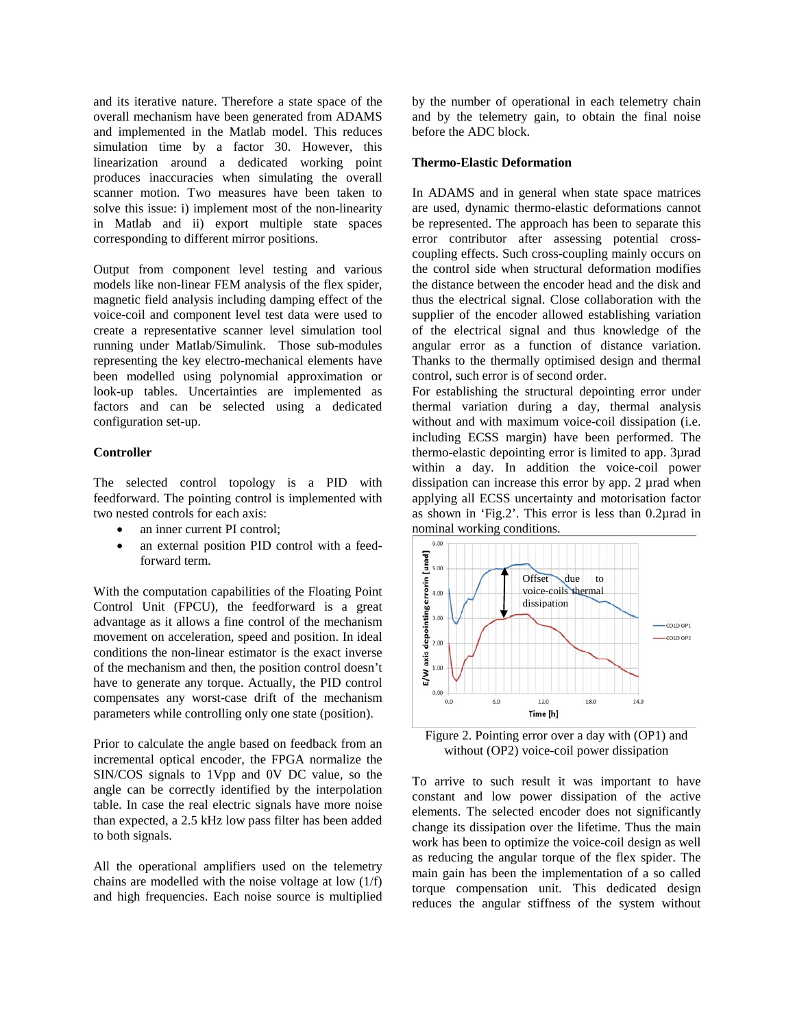and its iterative nature. Therefore a state space of the overall mechanism have been generated from ADAMS and implemented in the Matlab model. This reduces simulation time by a factor 30. However, this linearization around a dedicated working point produces inaccuracies when simulating the overall scanner motion. Two measures have been taken to solve this issue: i) implement most of the non-linearity in Matlab and ii) export multiple state spaces corresponding to different mirror positions.

Output from component level testing and various models like non-linear FEM analysis of the flex spider, magnetic field analysis including damping effect of the voice-coil and component level test data were used to create a representative scanner level simulation tool running under Matlab/Simulink. Those sub-modules representing the key electro-mechanical elements have been modelled using polynomial approximation or look-up tables. Uncertainties are implemented as factors and can be selected using a dedicated configuration set-up.

#### **Controller**

The selected control topology is a PID with feedforward. The pointing control is implemented with two nested controls for each axis:

- an inner current PI control;
- an external position PID control with a feedforward term.

With the computation capabilities of the Floating Point Control Unit (FPCU), the feedforward is a great advantage as it allows a fine control of the mechanism movement on acceleration, speed and position. In ideal conditions the non-linear estimator is the exact inverse of the mechanism and then, the position control doesn't have to generate any torque. Actually, the PID control compensates any worst-case drift of the mechanism parameters while controlling only one state (position).

Prior to calculate the angle based on feedback from an incremental optical encoder, the FPGA normalize the SIN/COS signals to 1Vpp and 0V DC value, so the angle can be correctly identified by the interpolation table. In case the real electric signals have more noise than expected, a 2.5 kHz low pass filter has been added to both signals.

All the operational amplifiers used on the telemetry chains are modelled with the noise voltage at low (1/f) and high frequencies. Each noise source is multiplied by the number of operational in each telemetry chain and by the telemetry gain, to obtain the final noise before the ADC block.

#### **Thermo-Elastic Deformation**

In ADAMS and in general when state space matrices are used, dynamic thermo-elastic deformations cannot be represented. The approach has been to separate this error contributor after assessing potential crosscoupling effects. Such cross-coupling mainly occurs on the control side when structural deformation modifies the distance between the encoder head and the disk and thus the electrical signal. Close collaboration with the supplier of the encoder allowed establishing variation of the electrical signal and thus knowledge of the angular error as a function of distance variation. Thanks to the thermally optimised design and thermal control, such error is of second order.

For establishing the structural depointing error under thermal variation during a day, thermal analysis without and with maximum voice-coil dissipation (i.e. including ECSS margin) have been performed. The thermo-elastic depointing error is limited to app. 3µrad within a day. In addition the voice-coil power dissipation can increase this error by app. 2 urad when applying all ECSS uncertainty and motorisation factor as shown in 'Fig.2'. This error is less than 0.2µrad in nominal working conditions.



Figure 2. Pointing error over a day with (OP1) and without (OP2) voice-coil power dissipation

To arrive to such result it was important to have constant and low power dissipation of the active elements. The selected encoder does not significantly change its dissipation over the lifetime. Thus the main work has been to optimize the voice-coil design as well as reducing the angular torque of the flex spider. The main gain has been the implementation of a so called torque compensation unit. This dedicated design reduces the angular stiffness of the system without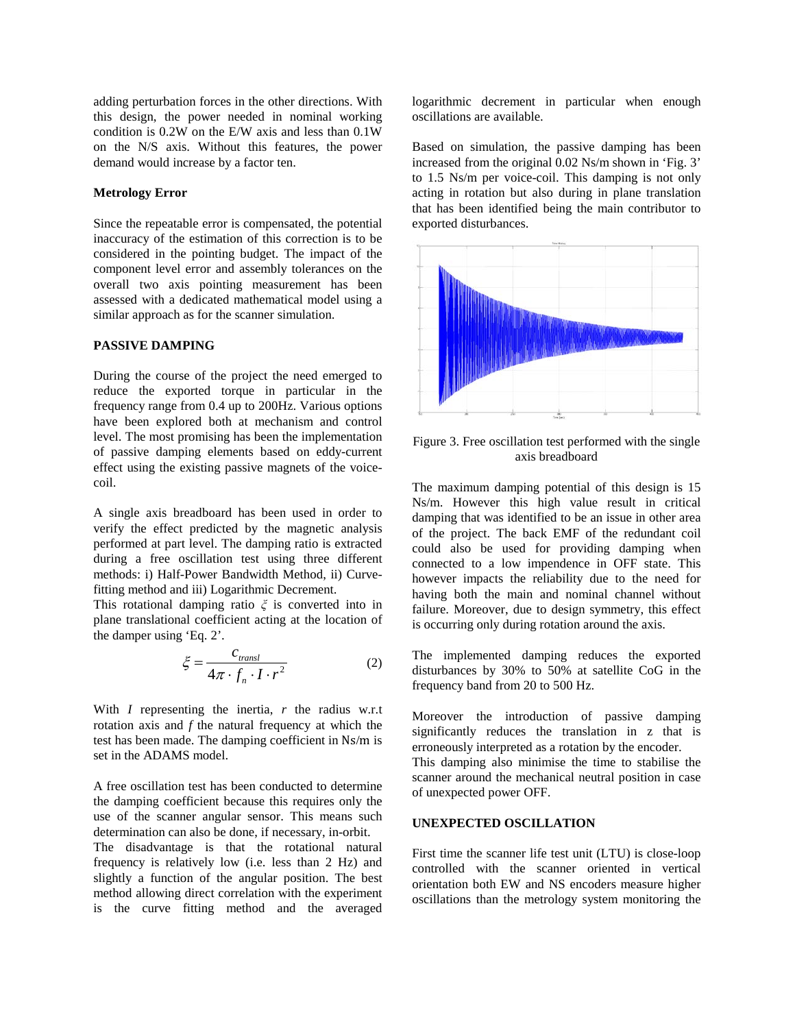adding perturbation forces in the other directions. With this design, the power needed in nominal working condition is 0.2W on the E/W axis and less than 0.1W on the N/S axis. Without this features, the power demand would increase by a factor ten.

# **Metrology Error**

Since the repeatable error is compensated, the potential inaccuracy of the estimation of this correction is to be considered in the pointing budget. The impact of the component level error and assembly tolerances on the overall two axis pointing measurement has been assessed with a dedicated mathematical model using a similar approach as for the scanner simulation.

## **PASSIVE DAMPING**

During the course of the project the need emerged to reduce the exported torque in particular in the frequency range from 0.4 up to 200Hz. Various options have been explored both at mechanism and control level. The most promising has been the implementation of passive damping elements based on eddy-current effect using the existing passive magnets of the voicecoil.

A single axis breadboard has been used in order to verify the effect predicted by the magnetic analysis performed at part level. The damping ratio is extracted during a free oscillation test using three different methods: i) Half-Power Bandwidth Method, ii) Curvefitting method and iii) Logarithmic Decrement.

This rotational damping ratio *ξ* is converted into in plane translational coefficient acting at the location of the damper using 'Eq. 2'.

$$
\xi = \frac{c_{transl}}{4\pi \cdot f_n \cdot I \cdot r^2} \tag{2}
$$

With *I* representing the inertia, *r* the radius w.r.t rotation axis and *f* the natural frequency at which the test has been made. The damping coefficient in Ns/m is set in the ADAMS model.

A free oscillation test has been conducted to determine the damping coefficient because this requires only the use of the scanner angular sensor. This means such determination can also be done, if necessary, in-orbit. The disadvantage is that the rotational natural

frequency is relatively low (i.e. less than 2 Hz) and slightly a function of the angular position. The best method allowing direct correlation with the experiment is the curve fitting method and the averaged

logarithmic decrement in particular when enough oscillations are available.

Based on simulation, the passive damping has been increased from the original 0.02 Ns/m shown in 'Fig. 3' to 1.5 Ns/m per voice-coil. This damping is not only acting in rotation but also during in plane translation that has been identified being the main contributor to exported disturbances.



Figure 3. Free oscillation test performed with the single axis breadboard

The maximum damping potential of this design is 15 Ns/m. However this high value result in critical damping that was identified to be an issue in other area of the project. The back EMF of the redundant coil could also be used for providing damping when connected to a low impendence in OFF state. This however impacts the reliability due to the need for having both the main and nominal channel without failure. Moreover, due to design symmetry, this effect is occurring only during rotation around the axis.

The implemented damping reduces the exported disturbances by 30% to 50% at satellite CoG in the frequency band from 20 to 500 Hz.

Moreover the introduction of passive damping significantly reduces the translation in z that is erroneously interpreted as a rotation by the encoder. This damping also minimise the time to stabilise the scanner around the mechanical neutral position in case of unexpected power OFF.

## **UNEXPECTED OSCILLATION**

First time the scanner life test unit (LTU) is close-loop controlled with the scanner oriented in vertical orientation both EW and NS encoders measure higher oscillations than the metrology system monitoring the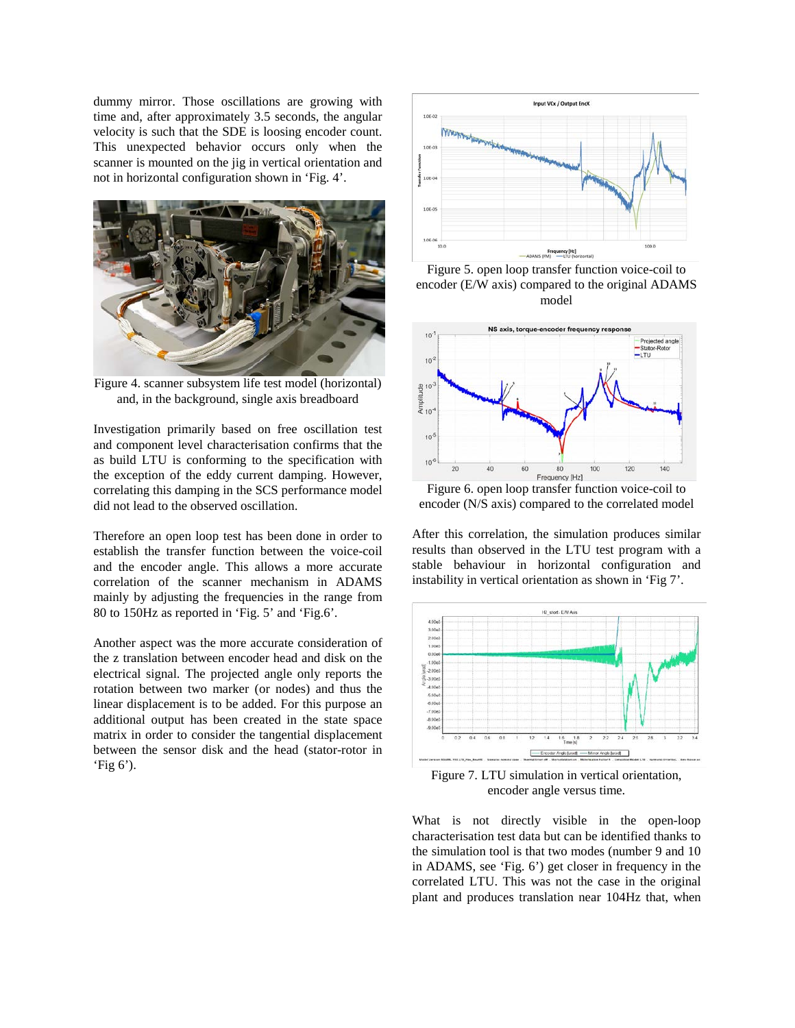dummy mirror. Those oscillations are growing with time and, after approximately 3.5 seconds, the angular velocity is such that the SDE is loosing encoder count. This unexpected behavior occurs only when the scanner is mounted on the jig in vertical orientation and not in horizontal configuration shown in 'Fig. 4'.



Figure 4. scanner subsystem life test model (horizontal) and, in the background, single axis breadboard

Investigation primarily based on free oscillation test and component level characterisation confirms that the as build LTU is conforming to the specification with the exception of the eddy current damping. However, correlating this damping in the SCS performance model did not lead to the observed oscillation.

Therefore an open loop test has been done in order to establish the transfer function between the voice-coil and the encoder angle. This allows a more accurate correlation of the scanner mechanism in ADAMS mainly by adjusting the frequencies in the range from 80 to 150Hz as reported in 'Fig. 5' and 'Fig.6'.

Another aspect was the more accurate consideration of the z translation between encoder head and disk on the electrical signal. The projected angle only reports the rotation between two marker (or nodes) and thus the linear displacement is to be added. For this purpose an additional output has been created in the state space matrix in order to consider the tangential displacement between the sensor disk and the head (stator-rotor in 'Fig 6').



Figure 5. open loop transfer function voice-coil to encoder (E/W axis) compared to the original ADAMS model



Figure 6. open loop transfer function voice-coil to encoder (N/S axis) compared to the correlated model

After this correlation, the simulation produces similar results than observed in the LTU test program with a stable behaviour in horizontal configuration and instability in vertical orientation as shown in 'Fig 7'.



Figure 7. LTU simulation in vertical orientation, encoder angle versus time.

What is not directly visible in the open-loop characterisation test data but can be identified thanks to the simulation tool is that two modes (number 9 and 10 in ADAMS, see 'Fig. 6') get closer in frequency in the correlated LTU. This was not the case in the original plant and produces translation near 104Hz that, when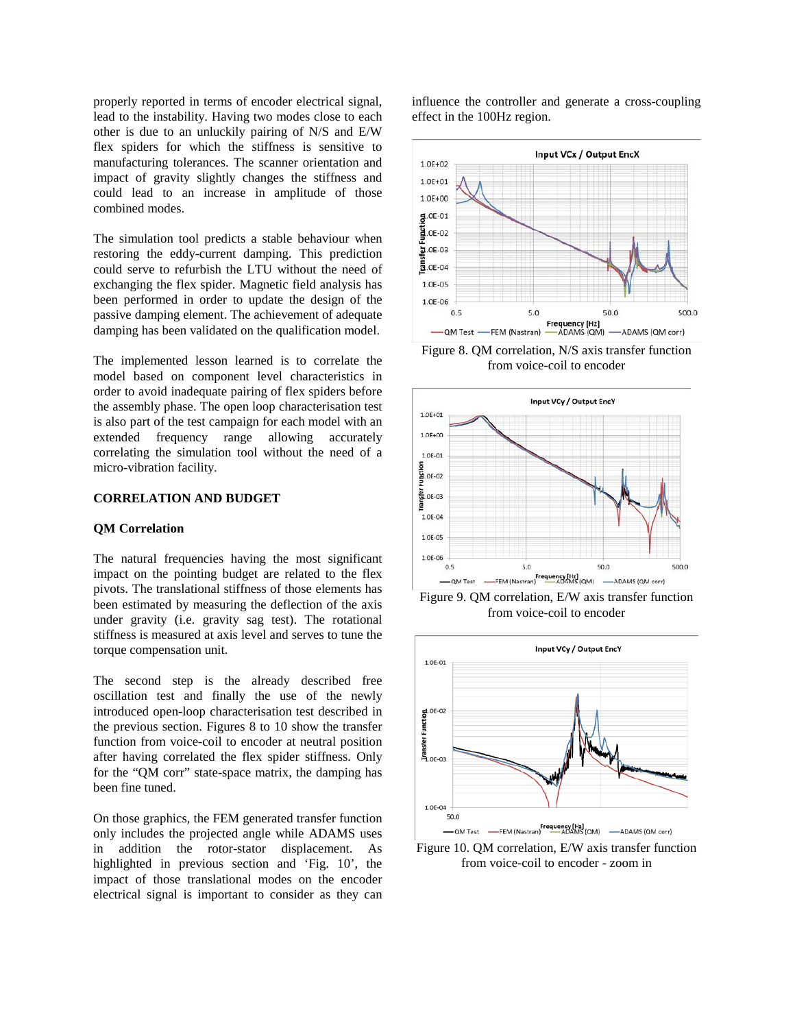properly reported in terms of encoder electrical signal, lead to the instability. Having two modes close to each other is due to an unluckily pairing of N/S and E/W flex spiders for which the stiffness is sensitive to manufacturing tolerances. The scanner orientation and impact of gravity slightly changes the stiffness and could lead to an increase in amplitude of those combined modes.

The simulation tool predicts a stable behaviour when restoring the eddy-current damping. This prediction could serve to refurbish the LTU without the need of exchanging the flex spider. Magnetic field analysis has been performed in order to update the design of the passive damping element. The achievement of adequate damping has been validated on the qualification model.

The implemented lesson learned is to correlate the model based on component level characteristics in order to avoid inadequate pairing of flex spiders before the assembly phase. The open loop characterisation test is also part of the test campaign for each model with an extended frequency range allowing accurately correlating the simulation tool without the need of a micro-vibration facility.

#### **CORRELATION AND BUDGET**

### **QM Correlation**

The natural frequencies having the most significant impact on the pointing budget are related to the flex pivots. The translational stiffness of those elements has been estimated by measuring the deflection of the axis under gravity (i.e. gravity sag test). The rotational stiffness is measured at axis level and serves to tune the torque compensation unit.

The second step is the already described free oscillation test and finally the use of the newly introduced open-loop characterisation test described in the previous section. Figures 8 to 10 show the transfer function from voice-coil to encoder at neutral position after having correlated the flex spider stiffness. Only for the "QM corr" state-space matrix, the damping has been fine tuned.

On those graphics, the FEM generated transfer function only includes the projected angle while ADAMS uses in addition the rotor-stator displacement. As highlighted in previous section and 'Fig. 10', the impact of those translational modes on the encoder electrical signal is important to consider as they can

influence the controller and generate a cross-coupling effect in the 100Hz region.



Figure 8. QM correlation, N/S axis transfer function from voice-coil to encoder



Figure 9. QM correlation, E/W axis transfer function from voice-coil to encoder



Figure 10. QM correlation, E/W axis transfer function from voice-coil to encoder - zoom in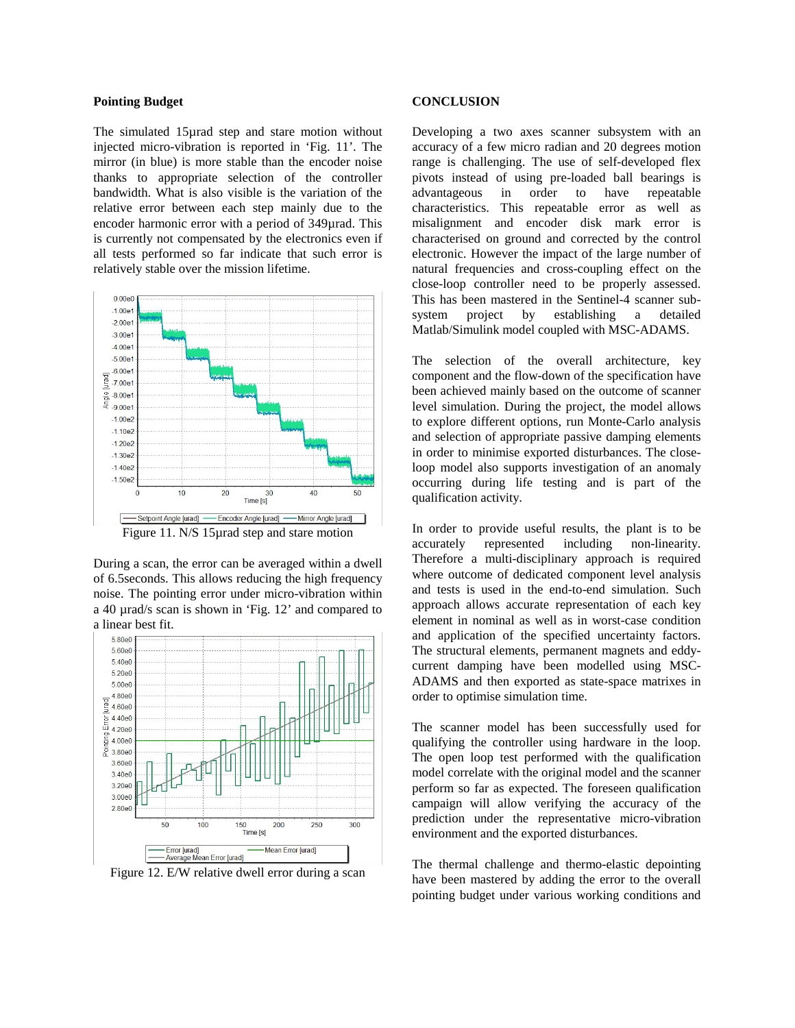#### **Pointing Budget**

The simulated 15µrad step and stare motion without injected micro-vibration is reported in 'Fig. 11'. The mirror (in blue) is more stable than the encoder noise thanks to appropriate selection of the controller bandwidth. What is also visible is the variation of the relative error between each step mainly due to the encoder harmonic error with a period of 349µrad. This is currently not compensated by the electronics even if all tests performed so far indicate that such error is relatively stable over the mission lifetime.



Figure 11. N/S 15µrad step and stare motion

During a scan, the error can be averaged within a dwell of 6.5seconds. This allows reducing the high frequency noise. The pointing error under micro-vibration within a 40 µrad/s scan is shown in 'Fig. 12' and compared to a linear best fit.



Figure 12. E/W relative dwell error during a scan

#### **CONCLUSION**

Developing a two axes scanner subsystem with an accuracy of a few micro radian and 20 degrees motion range is challenging. The use of self-developed flex pivots instead of using pre-loaded ball bearings is advantageous in order to have repeatable characteristics. This repeatable error as well as misalignment and encoder disk mark error is characterised on ground and corrected by the control electronic. However the impact of the large number of natural frequencies and cross-coupling effect on the close-loop controller need to be properly assessed. This has been mastered in the Sentinel-4 scanner subsystem project by establishing a detailed Matlab/Simulink model coupled with MSC-ADAMS.

The selection of the overall architecture, key component and the flow-down of the specification have been achieved mainly based on the outcome of scanner level simulation. During the project, the model allows to explore different options, run Monte-Carlo analysis and selection of appropriate passive damping elements in order to minimise exported disturbances. The closeloop model also supports investigation of an anomaly occurring during life testing and is part of the qualification activity.

In order to provide useful results, the plant is to be accurately represented including non-linearity. Therefore a multi-disciplinary approach is required where outcome of dedicated component level analysis and tests is used in the end-to-end simulation. Such approach allows accurate representation of each key element in nominal as well as in worst-case condition and application of the specified uncertainty factors. The structural elements, permanent magnets and eddycurrent damping have been modelled using MSC-ADAMS and then exported as state-space matrixes in order to optimise simulation time.

The scanner model has been successfully used for qualifying the controller using hardware in the loop. The open loop test performed with the qualification model correlate with the original model and the scanner perform so far as expected. The foreseen qualification campaign will allow verifying the accuracy of the prediction under the representative micro-vibration environment and the exported disturbances.

The thermal challenge and thermo-elastic depointing have been mastered by adding the error to the overall pointing budget under various working conditions and